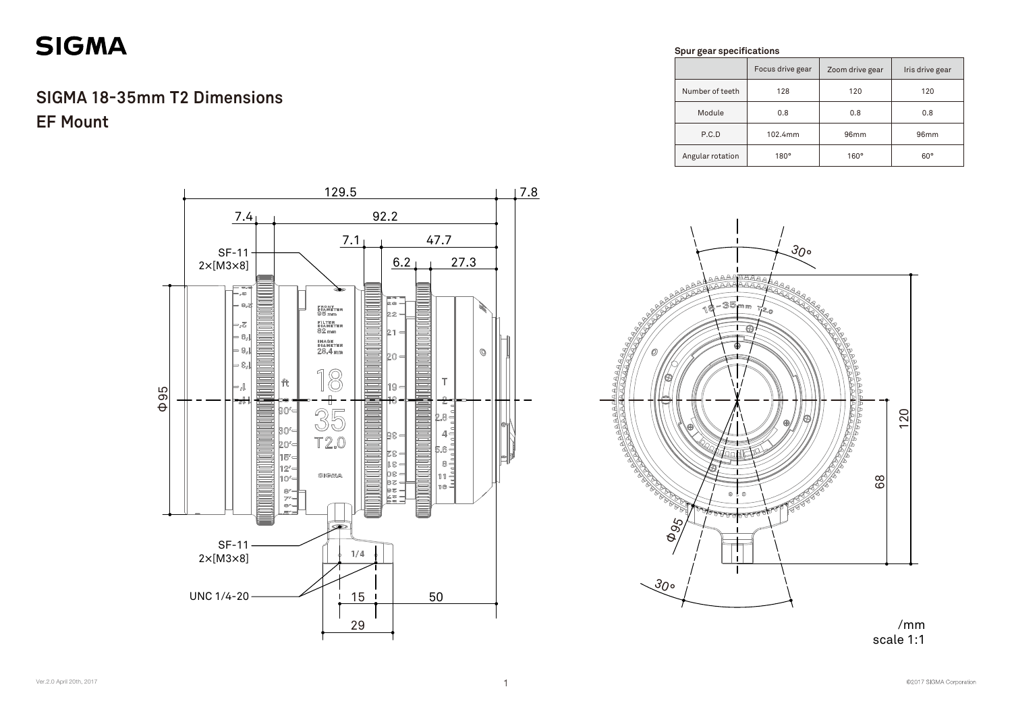



### /mm scale 1:1

|                  | Focus drive gear | Zoom drive gear  | Iris drive gear |
|------------------|------------------|------------------|-----------------|
| Number of teeth  | 128              | 120              | 120             |
| Module           | 0.8              | 0.8              | 0.8             |
| P.C.D            | 102.4mm          | 96 <sub>mm</sub> | 96mm            |
| Angular rotation | 180°             | $160^\circ$      | $60^{\circ}$    |

# **SIGMA**

## **SIGMA 18-35mm T2 Dimensions EF Mount**

#### **Spur gear specifications**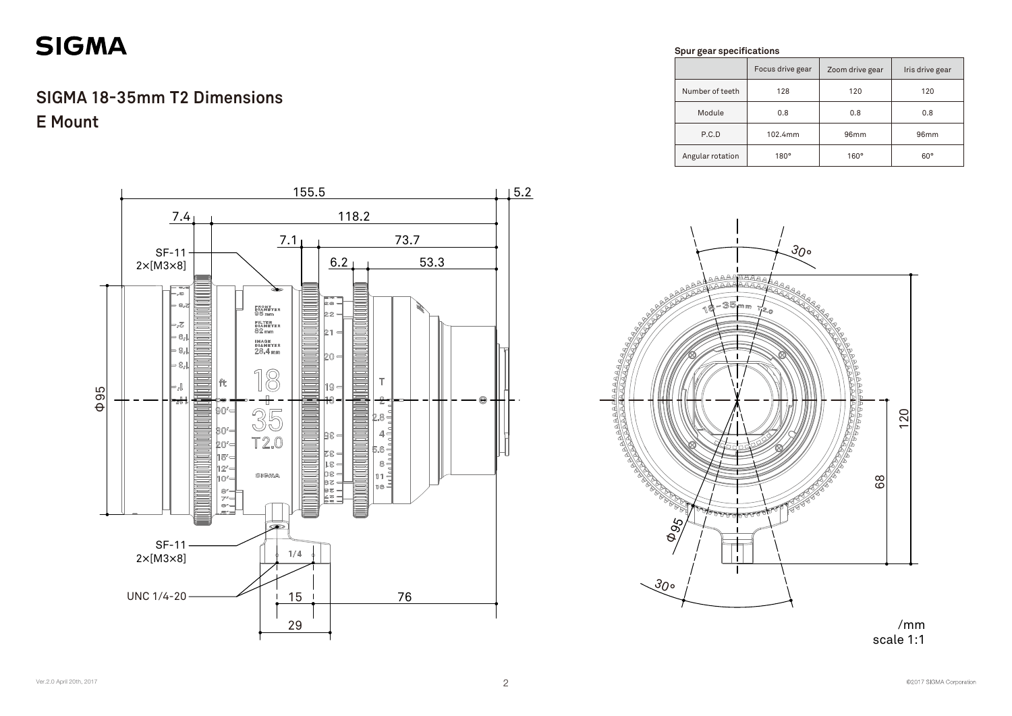### /mm scale 1:1

|                  | Focus drive gear | Zoom drive gear | Iris drive gear  |
|------------------|------------------|-----------------|------------------|
| Number of teeth  | 128              | 120             | 120              |
| Module           | 0.8              | 0.8             | 0.8              |
| P.C.D            | 102.4mm          | 96mm            | 96 <sub>mm</sub> |
| Angular rotation | $180^\circ$      | $160^\circ$     | $60^\circ$       |

# **SIGMA**

Φ95



**Spur gear specifications** 

**ABAAA** 

3

 $\blacksquare$ 

 $\overline{r}$ 



## **E Mount SIGMA 18-35mm T2 Dimensions**